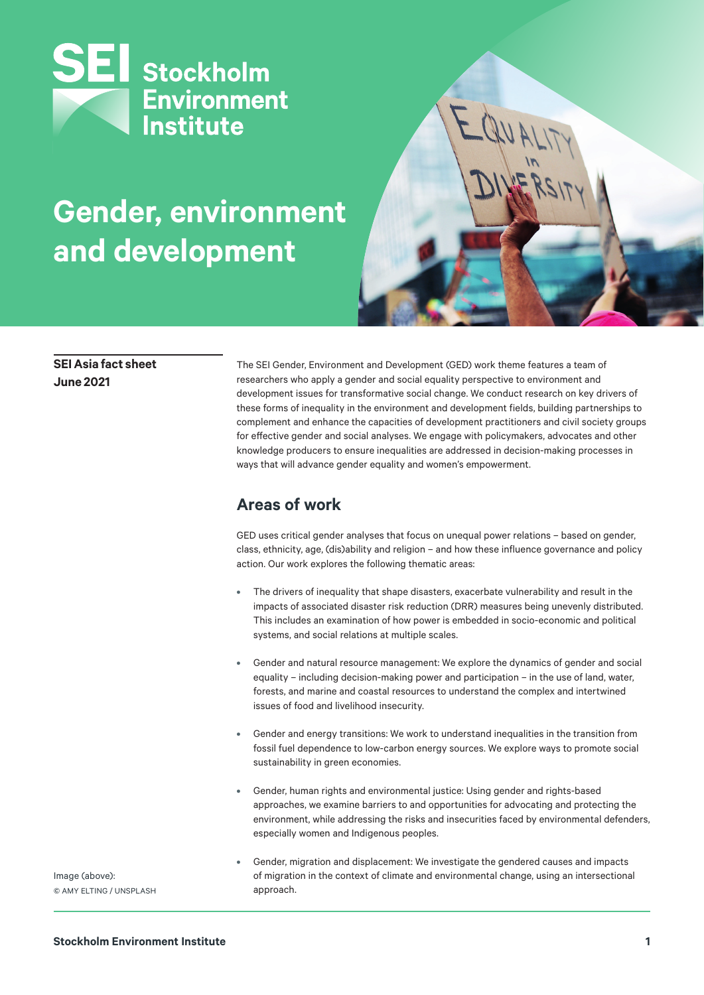

# **Gender, environment and development**



#### **SEI Asia fact sheet June 2021**

The SEI Gender, Environment and Development (GED) work theme features a team of researchers who apply a gender and social equality perspective to environment and development issues for transformative social change. We conduct research on key drivers of these forms of inequality in the environment and development fields, building partnerships to complement and enhance the capacities of development practitioners and civil society groups for effective gender and social analyses. We engage with policymakers, advocates and other knowledge producers to ensure inequalities are addressed in decision-making processes in ways that will advance gender equality and women's empowerment.

### **Areas of work**

GED uses critical gender analyses that focus on unequal power relations – based on gender, class, ethnicity, age, (dis)ability and religion – and how these influence governance and policy action. Our work explores the following thematic areas:

- **•** The drivers of inequality that shape disasters, exacerbate vulnerability and result in the impacts of associated disaster risk reduction (DRR) measures being unevenly distributed. This includes an examination of how power is embedded in socio-economic and political systems, and social relations at multiple scales.
- **•** Gender and natural resource management: We explore the dynamics of gender and social equality – including decision-making power and participation – in the use of land, water, forests, and marine and coastal resources to understand the complex and intertwined issues of food and livelihood insecurity.
- **•** Gender and energy transitions: We work to understand inequalities in the transition from fossil fuel dependence to low-carbon energy sources. We explore ways to promote social sustainability in green economies.
- **•** Gender, human rights and environmental justice: Using gender and rights-based approaches, we examine barriers to and opportunities for advocating and protecting the environment, while addressing the risks and insecurities faced by environmental defenders, especially women and Indigenous peoples.
- **•** Gender, migration and displacement: We investigate the gendered causes and impacts of migration in the context of climate and environmental change, using an intersectional approach.

Image (above): © AMY ELTING / UNSPLASH